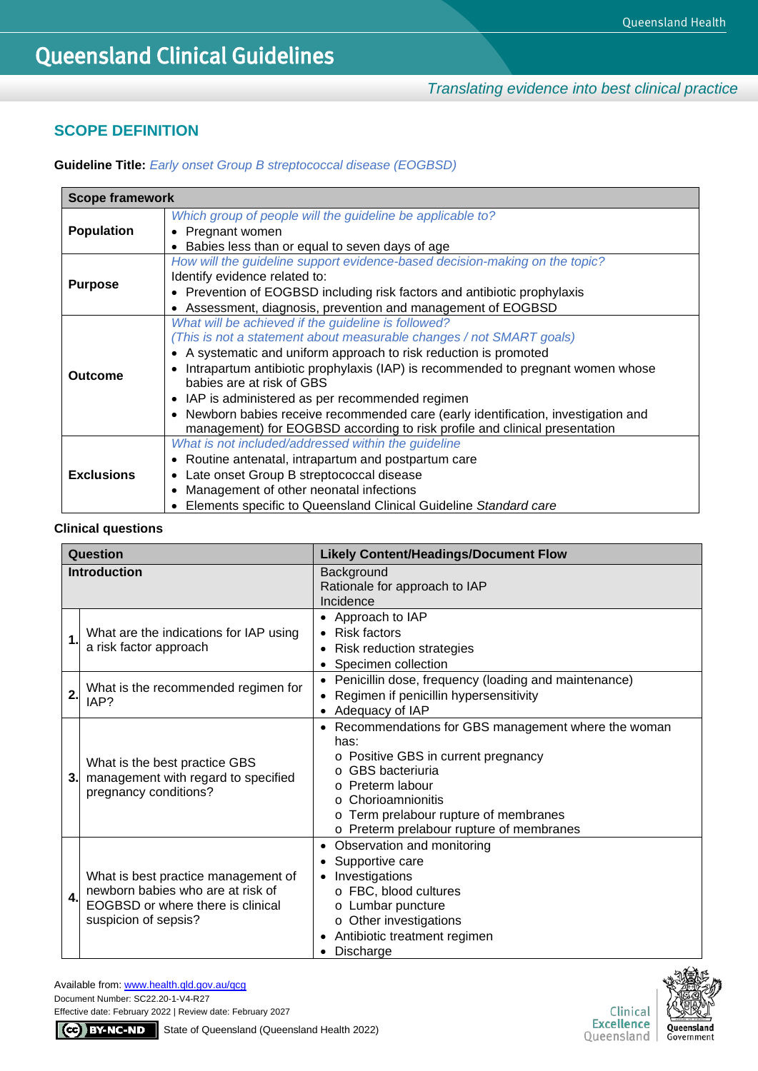## **SCOPE DEFINITION**

**Guideline Title:** *Early onset Group B streptococcal disease (EOGBSD)*

| <b>Scope framework</b> |                                                                                               |  |  |
|------------------------|-----------------------------------------------------------------------------------------------|--|--|
|                        | Which group of people will the guideline be applicable to?                                    |  |  |
| <b>Population</b>      | • Pregnant women                                                                              |  |  |
|                        | Babies less than or equal to seven days of age                                                |  |  |
|                        | How will the guideline support evidence-based decision-making on the topic?                   |  |  |
|                        | Identify evidence related to:                                                                 |  |  |
| <b>Purpose</b>         | • Prevention of EOGBSD including risk factors and antibiotic prophylaxis                      |  |  |
|                        | Assessment, diagnosis, prevention and management of EOGBSD                                    |  |  |
|                        | What will be achieved if the guideline is followed?                                           |  |  |
|                        | (This is not a statement about measurable changes / not SMART goals)                          |  |  |
|                        | • A systematic and uniform approach to risk reduction is promoted                             |  |  |
| Outcome                | Intrapartum antibiotic prophylaxis (IAP) is recommended to pregnant women whose               |  |  |
|                        | babies are at risk of GBS                                                                     |  |  |
|                        | IAP is administered as per recommended regimen<br>$\bullet$                                   |  |  |
|                        | Newborn babies receive recommended care (early identification, investigation and<br>$\bullet$ |  |  |
|                        | management) for EOGBSD according to risk profile and clinical presentation                    |  |  |
|                        | What is not included/addressed within the guideline                                           |  |  |
|                        | • Routine antenatal, intrapartum and postpartum care                                          |  |  |
| <b>Exclusions</b>      | Late onset Group B streptococcal disease<br>$\bullet$                                         |  |  |
|                        | Management of other neonatal infections<br>$\bullet$                                          |  |  |
|                        | Elements specific to Queensland Clinical Guideline Standard care                              |  |  |

## **Clinical questions**

| Question            |                                                                                                                                       | <b>Likely Content/Headings/Document Flow</b>                                                                                                                                                                                                                                          |
|---------------------|---------------------------------------------------------------------------------------------------------------------------------------|---------------------------------------------------------------------------------------------------------------------------------------------------------------------------------------------------------------------------------------------------------------------------------------|
| <b>Introduction</b> |                                                                                                                                       | Background<br>Rationale for approach to IAP<br>Incidence                                                                                                                                                                                                                              |
| $\mathbf 1$         | What are the indications for IAP using<br>a risk factor approach                                                                      | Approach to IAP<br>Risk factors<br>$\bullet$<br>Risk reduction strategies<br>٠<br>Specimen collection                                                                                                                                                                                 |
| $\overline{2}$      | What is the recommended regimen for<br>IAP?                                                                                           | Penicillin dose, frequency (loading and maintenance)<br>$\bullet$<br>Regimen if penicillin hypersensitivity<br>$\bullet$<br>Adequacy of IAP                                                                                                                                           |
| 3.                  | What is the best practice GBS<br>management with regard to specified<br>pregnancy conditions?                                         | Recommendations for GBS management where the woman<br>$\bullet$<br>has:<br>o Positive GBS in current pregnancy<br><b>GBS</b> bacteriuria<br><b>Preterm labour</b><br>Chorioamnionitis<br>$\circ$<br>o Term prelabour rupture of membranes<br>o Preterm prelabour rupture of membranes |
| 4.                  | What is best practice management of<br>newborn babies who are at risk of<br>EOGBSD or where there is clinical<br>suspicion of sepsis? | Observation and monitoring<br>$\bullet$<br>Supportive care<br>Investigations<br>o FBC, blood cultures<br>o Lumbar puncture<br>o Other investigations<br>Antibiotic treatment regimen<br>Discharge<br>$\bullet$                                                                        |

Available from[: www.health.qld.gov.au/qcg](http://www.health.qld.gov.au/qcg) Document Number: SC22.20-1-V4-R27

Effective date: February 2022 | Review date: February 2027